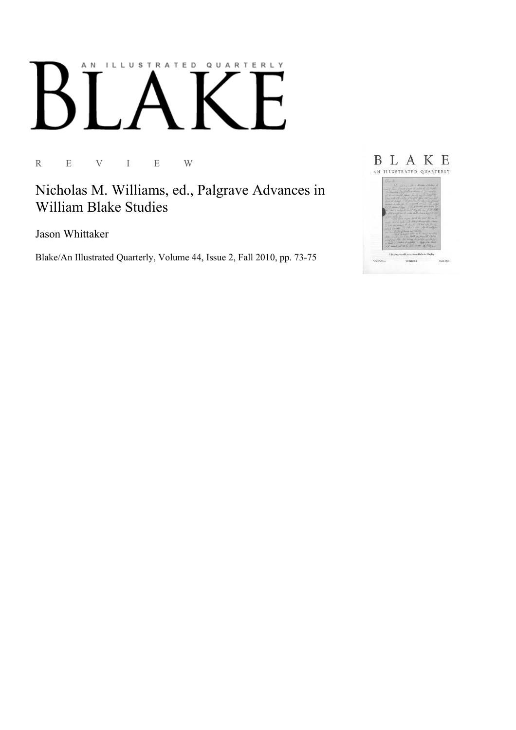# AN ILLUSTRATED QUARTERLY

R E V I E W

Nicholas M. Williams, ed., Palgrave Advances in William Blake Studies

Jason Whittaker

Blake/An Illustrated Quarterly, Volume 44, Issue 2, Fall 2010, pp. 73-75

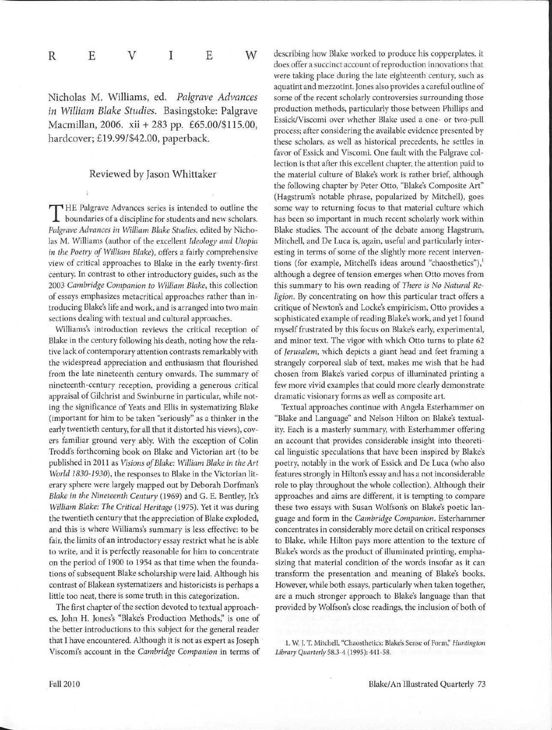| ${\bf R}$ | $\mathbf E$ | V | $\mathbf E$ | $\ensuremath{\text{W}}$ |
|-----------|-------------|---|-------------|-------------------------|
|           |             |   |             |                         |

Nicholas M. Williams, ed. *Palgrave Advances in William Blake Studies.* Basingstoke: Palgrave Macmillan, 2006. xii+ 283 pp. £65.00/\$115.00, hardcover; £19.99/\$42.00, paperback.

## Reviewed by Jason Whittaker

T HE Palgrave Advances series is intended to outline the boundaries of a discipline for students and new scholars. *Palgrave Advances in William Blake Studies,* edited by Nicholas M. Williams (author of the excellent *Ideology and Utopia in the Poetry of William Blake),* offers a fairly comprehensive view of critical approaches to Blake in the early twenty-first century. In contrast to other introductory guides, such as the 2003 *Cambridge Companion to William Blake,* this collection of essays emphasizes metacritical approaches rather than introducing Blake's life and work, and is arranged into two main sections dealing with textual and cultural approaches.

Williams's introduction reviews the critical reception of Blake in the century following his death, noting how the relative lack of contemporary attention contrasts remarkably with the widespread appreciation and enthusiasm that flourished from the late nineteenth century onwards. The summary of nineteenth-century reception, providing a generous critical appraisal of Gilchrist and Swinburne in particular, while noting the significance of Yeats and Ellis in systematizing Blake (important for him to be taken "seriously" as a thinker in the early twentieth century, for all that it distorted his views), covers familiar ground very ably. With the exception of Colin Trodd's forthcoming book on Blake and Victorian art (to be published in 2011 as *Visions of Blake: William Blake in the Art World 1830-1930*), the responses to Blake in the Victorian literary sphere were largely mapped out by Deborah Dorfman's *Blake in the Nineteenth Century* (1969) and G. E. Bentley, *Jr:s William Blake: The Critical Heritage* (1975). Yet it was during the twentieth century that the appreciation of Blake exploded, and this is where Williams's summary is less effective: to be fair, the limits of an introductory essay restrict what he is able to write, and it is perfectly reasonable for him to concentrate on the period of 1900 to 1954 as that time when the foundations of subsequent Blake scholarship were laid. Although his contrast of Blakean systematizers and historicists is perhaps a little too neat, there is some truth in this categorization.

The first chapter of the section devoted to textual approaches, John H. Jones's "Blake's Production Methods;' is one of the better introductions to this subject for the general reader that I have encountered. Although it is not as expert as Joseph Viscomi's account in the *Cambridge Companion* in terms of describing how Blake worked to produce his copperplates, it does offer a succinct account of reproduction innovations that were taking place during the late eighteenth century, such as aquatint and mezzotint. Jones also provides a careful outline of some of the recent scholarly controversies surrounding those production methods, particularly those between Phillips and Essick/Viscomi over whether Blake used a one- or two-pull process; after considering the available evidence presented by these scholars, as well as historical precedents, he settles in favor of Essick and Viscomi. One fault with the Palgrave collection is that after this excellent chapter, the attention paid to the material culture of Blake's work is rather brief, although the following chapter by Peter Otto, "Blake's Composite Art" (Hagstrum's notable phrase, popularized by Mitchell), goes some way to returning focus to that material culture which has been so important in much recent scholarly work within Blake studies. The account of the debate among Hagstrum, Mitchell, and De Luca is, again, useful and particularly interesting in terms of some of the slightly more recent interventions (for example, Mitchell's ideas around "chaosthetics"),<sup>1</sup> although a degree of tension emerges when Otto moves from this summary to his own reading of *There is No Natural Religion.* By concentrating on how this particular tract offers a critique of Newton's and Locke's empiricism, Otto provides a sophisticated example of reading Blake's work, and yet I found myself frustrated by this focus on Blake's early, experimental, and minor text. The vigor with which Otto turns to plate 62 of *Jerusalem,* which depicts a giant head and feet framing a strangely corporeal slab of text, makes me wish that he had chosen from Blake's varied corpus of illuminated printing a few more vivid examples that could more clearly demonstrate dramatic visionary forms as well as composite art.

Textual approaches continue with Angela Esterhammer on "Blake and Language" and Nelson Hilton on Blake's textuality. Each is a masterly summary, with Esterhammer offering an account that provides considerable insight into theoretical linguistic speculations that have been inspired by Blake's poetry, notably in the work of Essick and De Luca (who also features strongly in Hilton's essay and has a not inconsiderable role to play throughout the whole collection). Although their approaches and aims are different, it is tempting to compare these two essays with Susan Wolfson's on Blake's poetic language and form in the *Cambridge Companion.* Esterhammer concentrates in considerably more detail on critical responses to Blake, while Hilton pays more attention to the texture of Blake's words as the product of illuminated printing, emphasizing that material condition of the words insofar as it can transform the presentation and meaning of Blake's books. However, while both essays, particularly when taken together, are a much stronger approach to Blake's language than that provided by Wolfson's close readings, the inclusion of both of

<sup>1.</sup> W J. T. Mitchell, "Chaosthetics: Blake's Sense of *Form:' Huntington Library Quarterly* 58.3-4 (1995): 441-58. ·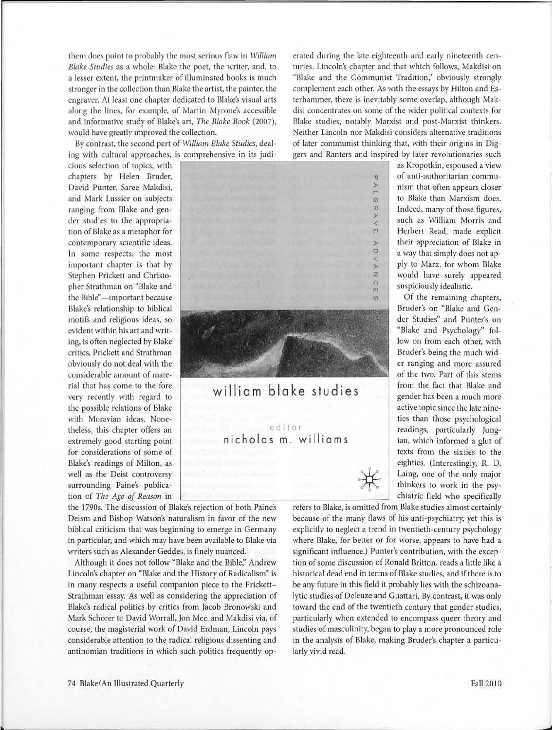stronger in the collection than Blake the artist, the painter, the complement each other. As with the essays by Hilton and Es-

ing with cultural approaches, is comprehensive in its judi-<br>cious selection of topics, with the state of the state of the selection of topics, with the state of the state

rial that has come to the fore **william blake** studies from the fact that Blake and gender has been a much more the possible relations of Blake active topic since the late ninewith Moravian ideas. None-<br>
the chanter offers an editor and the chanter offers and the chanter of the chanter of the chanter of the chanter of the chanter of the chanter of the chanter of the chanter of the chanter of the extremely good starting point **nicholas m**. **williams** ian, which informed a glut of for considerations of some of texts from the sixties to the Blake's readings of Milton, as eighties. (Interestingly, R. D. extremely good starting point nicholas m. williams<br>for considerations of some of texts from the sixties to the<br>Blake's readings of Milton, as<br>well as the Deist controversy surrounding Paine's publica-<br>surrounding Paine's p surrounding Paine's publica- thinkers to work in the psytion of *The Age of Reason* in chiatric field who specifically

Lincoln's chapter on "Blake and the History of Radicalism" is historical dead end in terms of Blake studies, and if there is to in many respects a useful companion piece to the Prickett- be any future in this field it probably lies with the schizoana-Strathman essay. As well as considering the appreciation of lytic studies of Deleuze and Guattari. By contrast, it was only Blake's radical politics by critics from Jacob Bronowski and toward the end of the twentieth century that gender studies, Mark Schorer to David Worrall, Jon Mee, and Makdisi via, of particularly when extended to encompass queer theory and course, the magisterial work of David Erdman, Lincoln pays studies of masculinity, began to play a more pronounced role considerable attention to the radical religious dissenting and in the analysis of Blake, making Bruder's chapter a particuantinomian traditions in which such politics frequently op- larly vivid read.

them does point to probably the most serious flaw in *William* erated during the late eighteenth and early nineteenth cen-*Blake Studies* as a whole: Blake the poet, the writer, and, to turies. Lincoln's chapter and that which follows, Makdisi on a lesser extent, the printmaker of illuminated books is much "Blake and the Communist Tradition;' obviously strongly engraver. At least one chapter dedicated to Blake's visual arts terhammer, there is inevitably some overlap, although Makalong the lines, for example, of Martin Myrone's accessible disi concentrates on some of the wider political contexts for and informative study of Blake's art, *The Blake Book* (2007), Blake studies, notably Marxist and post-Marxist thinkers. would have greatly improved the collection. Neither Lincoln nor Makdisi considers alternative traditions By contrast, the second part of *William Blake Studies,* deal- of later communist thinking that, with their origins in Dig-

chapters by Helen Bruder, 100 anti-authoritarian commu-David Punter, Saree Makdisi, and the same of the same of the same of the same of the same of the same of the same of the same of the same of the same of the same of the same of the same of the same of the same of the same r<br>Q and Mark Lussier on subjects **G**<sup>2</sup> **G G**<sup>2</sup> **CO** Blake than Marxism does. ranging from Blake and gen- $\frac{1}{2}$  Indeed, many of those figures, )> der studies to the appropria- The such as William Morris and tion of Blake as a metaphor for f"'<sup>1</sup> Herbert Read, made explicit contemporary scientific ideas.  $\qquad \qquad$  their appreciation of Blake in In some respects, the most  $\overline{a}$  a way that simply does not apimportant chapter is that by  $\overrightarrow{y}$  ply to Marx, for whom Blake Stephen Prickett and Christo- z would have surely appeared pher Strathman on "Blake and f"'<sup>1</sup> suspiciously idealistic. the Bible"—important because *(f)* **(f)**  $\alpha$  **(f)**  $\alpha$  **(f) (f) (f) (f) (f) (f) (f) (f) (f) (f) (f) (f) (f) (f) (f) (f) (f) (f) (f) (f) (f) (f) (f) (g) (g) (g) (g)** Blake's relationship to biblical Bruder's on "Blake and Genmotifs and religious ideas, so der Studies" and Punter's on evident within his art and writ-  $\mathbb{R}$  substitution of the state and Psychology" foling, is often neglected by Blake low on from each other, with critics. Prickett and Strathman Bruder's being the much widobviously do not deal with the er ranging and more assured considerable amount of mate-

theless, this chapter offers an equilibritation of the distribution of the readings, particularly Jung-

gender has been a much more

the 1790s. The discussion of Blake's rejection of both Paine's refers to Blake, is omitted from Blake studies almost certainly Deism and Bishop Watson's naturalism in favor of the new because of the many flaws of his anti-psychiatry, yet this is biblical criticism that was beginning to emerge in Germany explicitly to neglect a trend in twentieth-century psychology in particular, and which may have been available to Blake via where Blake, for better or for worse, appears to have had a writers such as Alexander Geddes, is finely nuanced. significant influence.) Punter's contribution, with the excep-Although it does not follow "Blake and the Bible;' Andrew tion of some discussion of Ronald Britton, reads a little like a